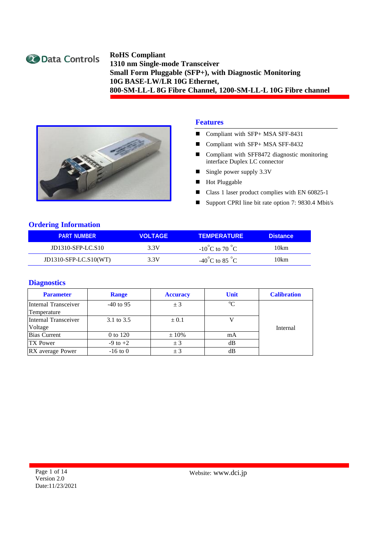



#### **Features**

- Compliant with SFP+ MSA SFF-8431
- Compliant with SFP+ MSA SFF-8432
- Compliant with SFF8472 diagnostic monitoring interface Duplex LC connector
- Single power supply 3.3V
- Hot Pluggable
- Class 1 laser product complies with EN 60825-1
- Support CPRI line bit rate option 7: 9830.4 Mbit/s

#### **Ordering Information**

| <b>PART NUMBER</b>      | <b>VOLTAGE</b> | <b>TEMPERATURE</b>                 | <b>Distance</b> |
|-------------------------|----------------|------------------------------------|-----------------|
| JD1310-SFP-LC.S10       | 3.3V           | $-10^{\circ}$ C to 70 $^{\circ}$ C | 10km            |
| $JD1310-SFP-LC.S10(WT)$ | 3.3V           | $-40^{\circ}$ C to 85 $^{\circ}$ C | 10km            |

#### **Diagnostics**

| <b>Parameter</b>     | <b>Range</b> | <b>Accuracy</b> | <b>Unit</b> | <b>Calibration</b> |
|----------------------|--------------|-----------------|-------------|--------------------|
| Internal Transceiver | $-40$ to 95  | ± 3             | $\rm ^{o}C$ |                    |
| Temperature          |              |                 |             |                    |
| Internal Transceiver | 3.1 to 3.5   | $\pm 0.1$       |             |                    |
| Voltage              |              |                 |             | Internal           |
| <b>Bias Current</b>  | 0 to 120     | $\pm 10\%$      | mA          |                    |
| <b>TX</b> Power      | $-9$ to $+2$ | ± 3             | dВ          |                    |
| RX average Power     | $-16$ to 0   | ± 3             | dВ          |                    |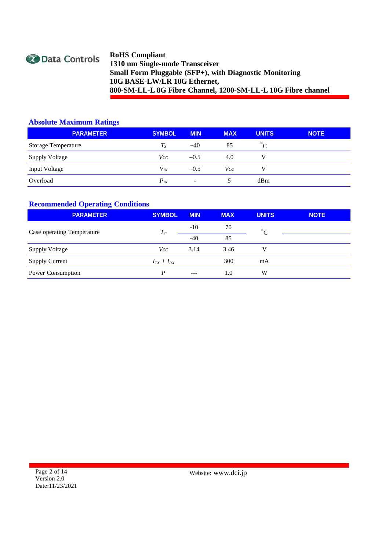

### **Absolute Maximum Ratings**

| <b>PARAMETER</b>           | <b>SYMBOL</b> | <b>MIN</b>               | <b>MAX</b> | <b>UNITS</b> | <b>NOTE</b> |
|----------------------------|---------------|--------------------------|------------|--------------|-------------|
| <b>Storage Temperature</b> | $T_{S}$       | $-40$                    | 85         | $^{\circ}C$  |             |
| <b>Supply Voltage</b>      | Vcc           | $-0.5$                   | 4.0        |              |             |
| <b>Input Voltage</b>       | $V_{I\!N}$    | $-0.5$                   | Vcc        |              |             |
| Overload                   | $P_{I\!N}$    | $\overline{\phantom{0}}$ |            | dBm          |             |

### **Recommended Operating Conditions**

| <b>PARAMETER</b>           | <b>SYMBOL</b>     | <b>MIN</b> | <b>MAX</b> | <b>UNITS</b> | <b>NOTE</b> |
|----------------------------|-------------------|------------|------------|--------------|-------------|
| Case operating Temperature | $T_C$             | $-10$      | 70         | $\circ$      |             |
|                            |                   | $-40$      | 85         |              |             |
| <b>Supply Voltage</b>      | Vcc               | 3.14       | 3.46       | V            |             |
| <b>Supply Current</b>      | $I_{TX} + I_{RX}$ |            | 300        | mA           |             |
| Power Consumption          | D                 | $---$      | 1.0        | W            |             |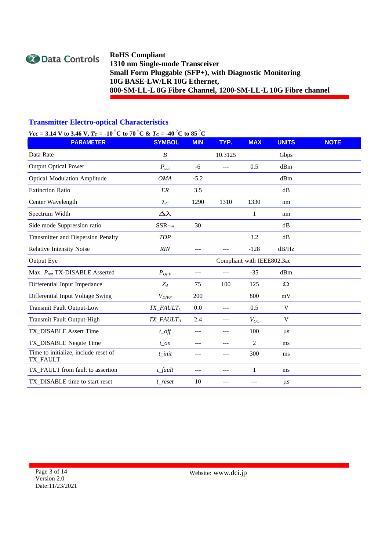

### **Transmitter Electro-optical Characteristics**

# *Vcc* = **3.14 V** to **3.46** V,  $T_c$  =  $-10\degree$ C to  $70\degree$ C &  $T_c$  =  $-40\degree$ C to  $85\degree$ C

| <b>PARAMETER</b>                                 | <b>SYMBOL</b>         | <b>MIN</b> | TYP.                       | <b>MAX</b> | <b>UNITS</b> | <b>NOTE</b> |
|--------------------------------------------------|-----------------------|------------|----------------------------|------------|--------------|-------------|
| Data Rate                                        | $\boldsymbol{B}$      |            | 10.3125                    |            | Gbps         |             |
| <b>Output Optical Power</b>                      | $P_{out}$             | $-6$       | ---                        | 0.5        | dBm          |             |
| <b>Optical Modulation Amplitude</b>              | <b>OMA</b>            | $-5.2$     |                            |            | dBm          |             |
| <b>Extinction Ratio</b>                          | ${\it ER}$            | 3.5        |                            |            | dB           |             |
| Center Wavelength                                | $\lambda_C$           | 1290       | 1310                       | 1330       | nm           |             |
| Spectrum Width                                   | $\Delta \lambda$      |            |                            | 1          | nm           |             |
| Side mode Suppression ratio                      | $SSR_{\min}$          | 30         |                            |            | dB           |             |
| <b>Transmitter and Dispersion Penalty</b>        | <b>TDP</b>            |            |                            | 3.2        | dB           |             |
| <b>Relative Intensity Noise</b>                  | RIN                   | $---$      | ---                        | $-128$     | dB/Hz        |             |
| Output Eye                                       |                       |            | Compliant with IEEE802.3ae |            |              |             |
| Max. Pout TX-DISABLE Asserted                    | $P_{OFF}$             | ---        | ---                        | $-35$      | dBm          |             |
| Differential Input Impedance                     | $Z_d$                 | 75         | 100                        | 125        | $\Omega$     |             |
| Differential Input Voltage Swing                 | $V_{\text{DIFF}}$     | 200        |                            | 800        | mV           |             |
| <b>Transmit Fault Output-Low</b>                 | TX_FAULTL             | 0.0        | $---$                      | 0.5        | $\mathbf V$  |             |
| Transmit Fault Output-High                       | TX_FAULT <sub>H</sub> | 2.4        | $---$                      | $V_{CC}$   | V            |             |
| TX_DISABLE Assert Time                           | $t$ <sub>_O</sub> ff  | $---$      | ---                        | 100        | $\mu$ s      |             |
| TX_DISABLE Negate Time                           | $t$ _on               |            | ---                        | 2          | ms           |             |
| Time to initialize, include reset of<br>TX_FAULT | $t$ init              | ---        | ---                        | 300        | ms           |             |
| TX_FAULT from fault to assertion                 | $t$ _fault            |            | ---                        | 1          | ms           |             |
| TX_DISABLE time to start reset                   | t_reset               | 10         |                            |            | $\mu$ s      |             |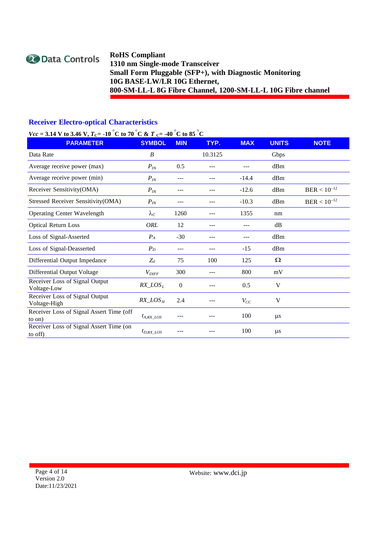

### **Receiver Electro-optical Characteristics**

### *Vcc* = 3.14 V to 3.46 V,  $T_c$  = -10  $\degree$ C to 70  $\degree$ C & T  $_c$  = -40  $\degree$ C to 85  $\degree$ C

| $\mathcal{L}(\mathcal{L} - \mathcal{L}(\mathbf{I} - \mathbf{I}) \mathbf{I})$<br><b>PARAMETER</b> | <b>SYMBOL</b>     | <b>MIN</b>     | TYP.    | <b>MAX</b> | <b>UNITS</b> | <b>NOTE</b>      |
|--------------------------------------------------------------------------------------------------|-------------------|----------------|---------|------------|--------------|------------------|
| Data Rate                                                                                        | B                 |                | 10.3125 |            | Gbps         |                  |
| Average receive power (max)                                                                      | $P_{IN}$          | 0.5            |         |            | dBm          |                  |
| Average receive power (min)                                                                      | $P_{I\!N}$        | ---            |         | $-14.4$    | dBm          |                  |
| Receiver Sensitivity(OMA)                                                                        | $P_{IN}$          | ---            | ---     | $-12.6$    | dBm          | $BER < 10^{-12}$ |
| Stressed Receiver Sensitivity(OMA)                                                               | $P_{IN}$          | ---            |         | $-10.3$    | dBm          | $BER < 10^{-12}$ |
| <b>Operating Center Wavelength</b>                                                               | $\lambda_C$       | 1260           |         | 1355       | nm           |                  |
| <b>Optical Return Loss</b>                                                                       | ORL               | 12             |         |            | dB           |                  |
| Loss of Signal-Asserted                                                                          | $P_A$             | $-30$          |         |            | dBm          |                  |
| Loss of Signal-Deasserted                                                                        | $P_D$             | ---            |         | $-15$      | dBm          |                  |
| Differential Output Impedance                                                                    | $Z_d$             | 75             | 100     | 125        | Ω            |                  |
| Differential Output Voltage                                                                      | $V_{\text{DIFF}}$ | 300            |         | 800        | mV           |                  |
| Receiver Loss of Signal Output<br>Voltage-Low                                                    | $RX\_LOS_L$       | $\overline{0}$ |         | 0.5        | V            |                  |
| Receiver Loss of Signal Output<br>Voltage-High                                                   | $RX\_LOS_H$       | 2.4            |         | $V_{CC}$   | V            |                  |
| Receiver Loss of Signal Assert Time (off<br>to on)                                               | $t_{A, RX}$ LOS   |                |         | 100        | $\mu s$      |                  |
| Receiver Loss of Signal Assert Time (on<br>to off)                                               | $t_{D,RX}$ LOS    |                |         | 100        | $\mu$ s      |                  |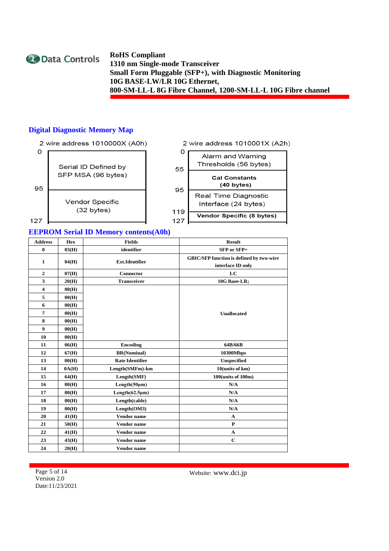

### **Digital Diagnostic Memory Map**



|     | 2 wire address 1010001X (A2h)              |
|-----|--------------------------------------------|
|     | Alarm and Warning<br>Thresholds (56 bytes) |
| 55  | <b>Cal Constants</b>                       |
| 95  | (40 bytes)                                 |
|     | Real Time Diagnostic                       |
| 119 | Interface (24 bytes)                       |
|     | <b>Vendor Specific (8 bytes)</b>           |

### **EEPROM Serial ID Memory contents(A0h)**

| <b>Address</b>          | <b>Hex</b> | <b>Fields</b>          | <b>Result</b>                                                        |
|-------------------------|------------|------------------------|----------------------------------------------------------------------|
| $\bf{0}$                | 03(H)      | identifier             | SFP or SFP+                                                          |
| $\mathbf{1}$            | 04(H)      | <b>Ext.Identifier</b>  | <b>GBIC/SFP function is defined by two-wire</b><br>interface ID only |
| $\mathbf{2}$            | 07(H)      | <b>Connector</b>       | LC                                                                   |
| 3                       | 20(H)      | <b>Transceiver</b>     | 10G Baee-LR;                                                         |
| $\overline{\mathbf{4}}$ | 00(H)      |                        |                                                                      |
| 5                       | 00(H)      |                        |                                                                      |
| 6                       | 00(H)      |                        |                                                                      |
| 7                       | 00(H)      |                        | <b>Unallocated</b>                                                   |
| 8                       | 00(H)      |                        |                                                                      |
| 9                       | 00(H)      |                        |                                                                      |
| 10                      | 00(H)      |                        |                                                                      |
| 11                      | 06(H)      | <b>Encoding</b>        | 64B/66B                                                              |
| 12                      | 67(H)      | <b>BR(Nominal)</b>     | 10300Mbps                                                            |
| 13                      | 00(H)      | <b>Rate Identifier</b> | Unspecified                                                          |
| 14                      | 0A(H)      | Length(SMFm)-km        | 10(units of km)                                                      |
| 15                      | 64(H)      | Length(SMF)            | 100(units of 100m)                                                   |
| 16                      | 00(H)      | Length(50µm)           | N/A                                                                  |
| 17                      | 00(H)      | Length(62.5µm)         | N/A                                                                  |
| 18                      | 00(H)      | Length(cable)          | N/A                                                                  |
| 19                      | 00(H)      | Length(OM3)            | N/A                                                                  |
| 20                      | 41(H)      | <b>Vendor</b> name     | $\mathbf{A}$                                                         |
| 21                      | 50(H)      | <b>Vendor</b> name     | $\mathbf{P}$                                                         |
| 22                      | 41(H)      | <b>Vendor</b> name     | $\mathbf{A}$                                                         |
| 23                      | 43(H)      | <b>Vendor</b> name     | $\mathbf C$                                                          |
| 24                      | 20(H)      | <b>Vendor</b> name     |                                                                      |

Page 5 of 14 Version 2.0 Date:11/23/2021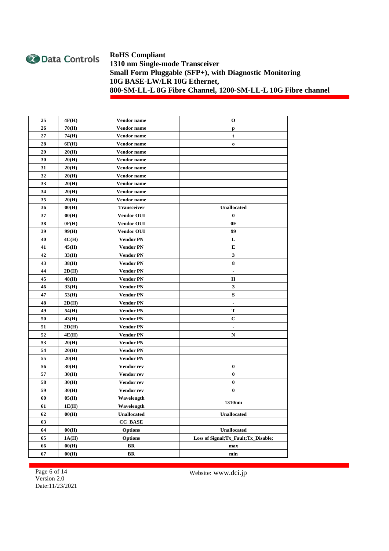

| 25 | 4F(H) | Vendor name        | 0                                     |
|----|-------|--------------------|---------------------------------------|
| 26 | 70(H) | Vendor name        | p                                     |
| 27 | 74(H) | Vendor name        | t                                     |
| 28 | 6F(H) | Vendor name        | $\mathbf 0$                           |
| 29 | 20(H) | Vendor name        |                                       |
| 30 | 20(H) | Vendor name        |                                       |
| 31 | 20(H) | Vendor name        |                                       |
| 32 | 20(H) | Vendor name        |                                       |
| 33 | 20(H) | <b>Vendor</b> name |                                       |
| 34 | 20(H) | Vendor name        |                                       |
| 35 | 20(H) | Vendor name        |                                       |
| 36 | 00(H) | <b>Transceiver</b> | <b>Unallocated</b>                    |
| 37 | 00(H) | <b>Vendor OUI</b>  | $\bf{0}$                              |
| 38 | 0F(H) | <b>Vendor OUI</b>  | 0F                                    |
| 39 | 99(H) | <b>Vendor OUI</b>  | 99                                    |
| 40 | 4C(H) | <b>Vendor PN</b>   | L                                     |
| 41 | 45(H) | <b>Vendor PN</b>   | Е                                     |
| 42 | 33(H) | <b>Vendor PN</b>   | 3                                     |
| 43 | 38(H) | <b>Vendor PN</b>   | 8                                     |
| 44 | 2D(H) | <b>Vendor PN</b>   | ٠                                     |
| 45 | 48(H) | <b>Vendor PN</b>   | н                                     |
| 46 | 33(H) | <b>Vendor PN</b>   | 3                                     |
| 47 | 53(H) | <b>Vendor PN</b>   | S                                     |
| 48 | 2D(H) | <b>Vendor PN</b>   | ٠                                     |
| 49 | 54(H) | <b>Vendor PN</b>   | т                                     |
| 50 | 43(H) | <b>Vendor PN</b>   | С                                     |
| 51 | 2D(H) | Vendor PN          | ٠                                     |
| 52 | 4E(H) | <b>Vendor PN</b>   | N                                     |
| 53 | 20(H) | <b>Vendor PN</b>   |                                       |
| 54 | 20(H) | <b>Vendor PN</b>   |                                       |
| 55 | 20(H) | <b>Vendor PN</b>   |                                       |
| 56 | 30(H) | Vendor rev         | $\bf{0}$                              |
| 57 | 30(H) | Vendor rev         | $\bf{0}$                              |
| 58 | 30(H) | Vendor rev         | $\bf{0}$                              |
| 59 | 30(H) | Vendor rev         | $\bf{0}$                              |
| 60 | 05(H) | Wavelength         | 1310nm                                |
| 61 | 1E(H) | Wavelength         |                                       |
| 62 | 00(H) | <b>Unallocated</b> | <b>Unallocated</b>                    |
| 63 |       | <b>CC_BASE</b>     |                                       |
| 64 | 00(H) | <b>Options</b>     | <b>Unallocated</b>                    |
| 65 | 1A(H) | <b>Options</b>     | Loss of Signal; Tx_Fault; Tx_Disable; |
| 66 | 00(H) | BR                 | max                                   |
| 67 | 00(H) | BR                 | min                                   |

Page 6 of 14 Version 2.0 Date:11/23/2021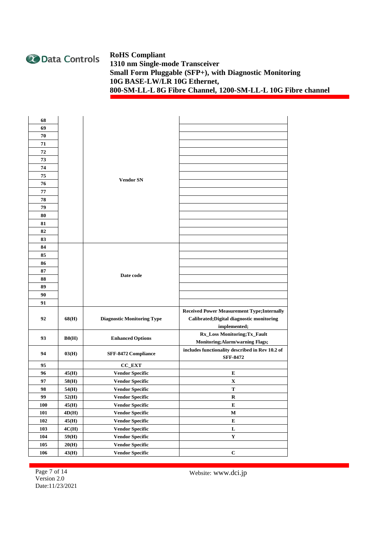

| 68  |              |                                   |                                                    |
|-----|--------------|-----------------------------------|----------------------------------------------------|
| 69  |              |                                   |                                                    |
| 70  |              |                                   |                                                    |
| 71  |              |                                   |                                                    |
| 72  |              |                                   |                                                    |
| 73  |              |                                   |                                                    |
| 74  |              |                                   |                                                    |
| 75  |              |                                   |                                                    |
| 76  |              | <b>Vendor SN</b>                  |                                                    |
| 77  |              |                                   |                                                    |
| 78  |              |                                   |                                                    |
| 79  |              |                                   |                                                    |
| 80  |              |                                   |                                                    |
| 81  |              |                                   |                                                    |
| 82  |              |                                   |                                                    |
| 83  |              |                                   |                                                    |
| 84  |              |                                   |                                                    |
| 85  |              |                                   |                                                    |
| 86  |              |                                   |                                                    |
| 87  |              |                                   |                                                    |
| 88  |              | Date code                         |                                                    |
| 89  |              |                                   |                                                    |
| 90  |              |                                   |                                                    |
| 91  |              |                                   |                                                    |
|     |              |                                   | <b>Received Power Measurement Type; Internally</b> |
| 92  | 68(H)        | <b>Diagnostic Monitoring Type</b> | Calibrated; Digital diagnostic monitoring          |
|     |              |                                   | implemented;                                       |
| 93  | $\rm\,B0(H)$ | <b>Enhanced Options</b>           | Rx_Loss Monitoring;Tx_Fault                        |
|     |              |                                   | Monitoring; Alarm/warning Flags;                   |
| 94  | 03(H)        | SFF-8472 Compliance               | includes functionality described in Rev 10.2 of    |
|     |              |                                   | <b>SFF-8472</b>                                    |
| 95  |              | <b>CC_EXT</b>                     |                                                    |
| 96  | 45(H)        | <b>Vendor Specific</b>            | E                                                  |
| 97  | 58(H)        | <b>Vendor Specific</b>            | X                                                  |
| 98  | 54(H)        | <b>Vendor Specific</b>            | T                                                  |
| 99  | 52(H)        | <b>Vendor Specific</b>            | R                                                  |
| 100 | 45(H)        | <b>Vendor Specific</b>            | E                                                  |
| 101 | 4D(H)        | <b>Vendor Specific</b>            | М                                                  |
| 102 | 45(H)        | <b>Vendor Specific</b>            | ${\bf E}$                                          |
| 103 | 4C(H)        | <b>Vendor Specific</b>            | $\mathbf L$                                        |
| 104 | 59(H)        | <b>Vendor Specific</b>            | $\mathbf Y$                                        |
| 105 | 20(H)        | <b>Vendor Specific</b>            |                                                    |
| 106 | 43(H)        | <b>Vendor Specific</b>            | $\bf C$                                            |

Page 7 of 14 Version 2.0 Date:11/23/2021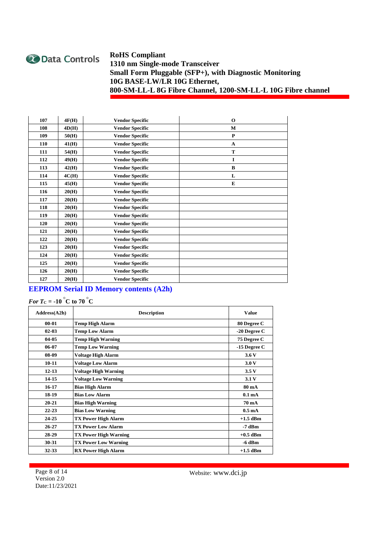

| 107 | 4F(H) | <b>Vendor Specific</b> | $\mathbf 0$  |
|-----|-------|------------------------|--------------|
| 108 | 4D(H) | <b>Vendor Specific</b> | M            |
| 109 | 50(H) | <b>Vendor Specific</b> | $\mathbf{P}$ |
| 110 | 41(H) | <b>Vendor Specific</b> | $\mathbf{A}$ |
| 111 | 54(H) | <b>Vendor Specific</b> | T            |
| 112 | 49(H) | <b>Vendor Specific</b> | $\mathbf I$  |
| 113 | 42(H) | <b>Vendor Specific</b> | $\bf{B}$     |
| 114 | 4C(H) | <b>Vendor Specific</b> | L            |
| 115 | 45(H) | <b>Vendor Specific</b> | E            |
| 116 | 20(H) | <b>Vendor Specific</b> |              |
| 117 | 20(H) | <b>Vendor Specific</b> |              |
| 118 | 20(H) | <b>Vendor Specific</b> |              |
| 119 | 20(H) | <b>Vendor Specific</b> |              |
| 120 | 20(H) | <b>Vendor Specific</b> |              |
| 121 | 20(H) | <b>Vendor Specific</b> |              |
| 122 | 20(H) | <b>Vendor Specific</b> |              |
| 123 | 20(H) | <b>Vendor Specific</b> |              |
| 124 | 20(H) | <b>Vendor Specific</b> |              |
| 125 | 20(H) | <b>Vendor Specific</b> |              |
| 126 | 20(H) | <b>Vendor Specific</b> |              |
| 127 | 20(H) | <b>Vendor Specific</b> |              |

### **EEPROM Serial ID Memory contents (A2h)**

# *For*  $T_c$  =  $-10$   $^{\circ}$ C to  $70$   $^{\circ}$ C

| Address(A2h) | <b>Description</b>           | <b>Value</b>       |
|--------------|------------------------------|--------------------|
| $00 - 01$    | <b>Temp High Alarm</b>       | 80 Degree C        |
| $02 - 03$    | <b>Temp Low Alarm</b>        | $-20$ Degree C     |
| 04-05        | <b>Temp High Warning</b>     | 75 Degree C        |
| 06-07        | <b>Temp Low Warning</b>      | $-15$ Degree C     |
| 08-09        | <b>Voltage High Alarm</b>    | 3.6V               |
| $10 - 11$    | <b>Voltage Low Alarm</b>     | 3.0V               |
| $12 - 13$    | <b>Voltage High Warning</b>  | 3.5V               |
| 14-15        | <b>Voltage Low Warning</b>   | 3.1V               |
| 16-17        | <b>Bias High Alarm</b>       | 80 mA              |
| 18-19        | <b>Bias Low Alarm</b>        | 0.1 <sub>mA</sub>  |
| $20 - 21$    | <b>Bias High Warning</b>     | 70 mA              |
| $22 - 23$    | <b>Bias Low Warning</b>      | 0.5 <sub>m</sub> A |
| 24-25        | <b>TX Power High Alarm</b>   | $+1.5$ dBm         |
| $26 - 27$    | <b>TX Power Low Alarm</b>    | -7 dBm             |
| 28-29        | <b>TX Power High Warning</b> | $+0.5$ dBm         |
| 30-31        | <b>TX Power Low Warning</b>  | -6 dBm             |
| 32-33        | <b>RX Power High Alarm</b>   | $+1.5$ dBm         |

Page 8 of 14 Version 2.0 Date:11/23/2021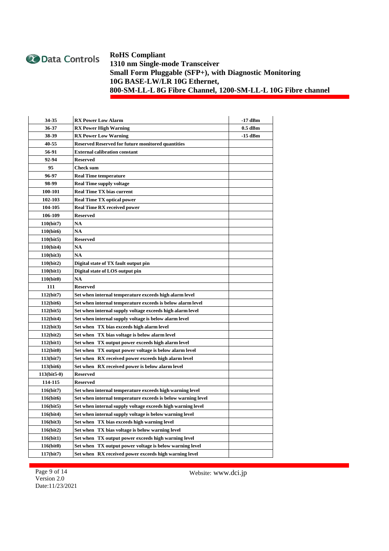

| 34-35          | <b>RX Power Low Alarm</b>                                    | -17 dBm   |  |
|----------------|--------------------------------------------------------------|-----------|--|
| 36-37          | <b>RX Power High Warning</b>                                 | 0.5 dBm   |  |
| 38-39          | <b>RX Power Low Warning</b>                                  | $-15$ dBm |  |
| 40-55          | <b>Reserved Reserved for future monitored quantities</b>     |           |  |
| 56-91          | <b>External calibration constant</b>                         |           |  |
| 92-94          | <b>Reserved</b>                                              |           |  |
| 95             | <b>Check sum</b>                                             |           |  |
| 96-97          | <b>Real Time temperature</b>                                 |           |  |
| 98-99          | <b>Real Time supply voltage</b>                              |           |  |
| <b>100-101</b> | <b>Real Time TX bias current</b>                             |           |  |
| 102-103        | <b>Real Time TX optical power</b>                            |           |  |
| 104-105        | <b>Real Time RX received power</b>                           |           |  |
| 106-109        | <b>Reserved</b>                                              |           |  |
| 110(bit7)      | NA                                                           |           |  |
| 110(bit6)      | NA                                                           |           |  |
| 110(bit5)      | <b>Reserved</b>                                              |           |  |
| 110(bit4)      | <b>NA</b>                                                    |           |  |
| 110(bit3)      | NA                                                           |           |  |
| 110(bit2)      | Digital state of TX fault output pin                         |           |  |
| 110(bit1)      | Digital state of LOS output pin                              |           |  |
| 110(bit0)      | <b>NA</b>                                                    |           |  |
| 111            | <b>Reserved</b>                                              |           |  |
| 112(bit7)      | Set when internal temperature exceeds high alarm level       |           |  |
| 112(bit6)      | Set when internal temperature exceeds is below alarm level   |           |  |
| 112(bit5)      | Set when internal supply voltage exceeds high alarm level    |           |  |
| 112(bit4)      | Set when internal supply voltage is below alarm level        |           |  |
| 112(bit3)      | Set when TX bias exceeds high alarm level                    |           |  |
| 112(bit2)      | Set when TX bias voltage is below alarm level                |           |  |
| 112(bit1)      | Set when TX output power exceeds high alarm level            |           |  |
| 112(bit0)      | Set when TX output power voltage is below alarm level        |           |  |
| 113(bit7)      | Set when RX received power exceeds high alarm level          |           |  |
| 113(bit6)      | Set when RX received power is below alarm level              |           |  |
| $113(bit5-0)$  | <b>Reserved</b>                                              |           |  |
| 114-115        | Reserved                                                     |           |  |
| 116(bit7)      | Set when internal temperature exceeds high warning level     |           |  |
| 116(bit6)      | Set when internal temperature exceeds is below warning level |           |  |
| 116(bit5)      | Set when internal supply voltage exceeds high warning level  |           |  |
| 116(bit4)      | Set when internal supply voltage is below warning level      |           |  |
| 116(bit3)      | Set when TX bias exceeds high warning level                  |           |  |
| 116(bit2)      | Set when TX bias voltage is below warning level              |           |  |
| 116(bit1)      | Set when TX output power exceeds high warning level          |           |  |
| 116(bit0)      | Set when TX output power voltage is below warning level      |           |  |
| 117(bit7)      | Set when RX received power exceeds high warning level        |           |  |

Page 9 of 14 Version 2.0 Date:11/23/2021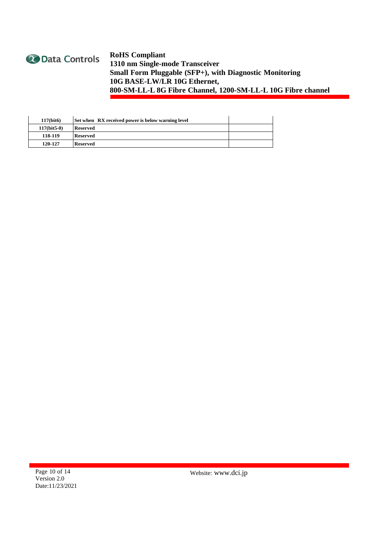

| $117$ (bit $6$ ) | Set when RX received power is below warning level |  |
|------------------|---------------------------------------------------|--|
| $117$ (bit5-0)   | <b>Reserved</b>                                   |  |
| 118-119          | <b>Reserved</b>                                   |  |
| 120-127          | <b>Reserved</b>                                   |  |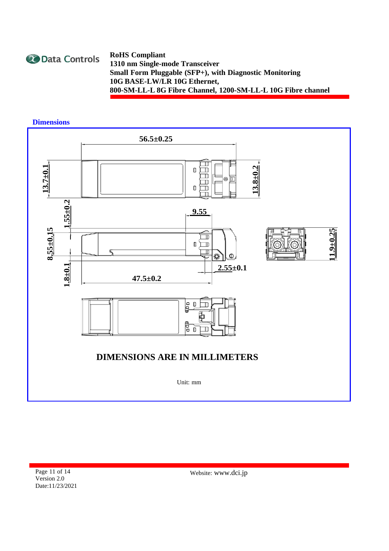

**Dimensions**



Page 11 of 14 Version 2.0 Date:11/23/2021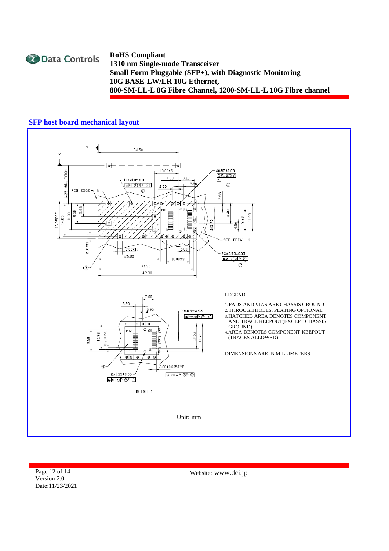

### **SFP host board mechanical layout**



Page 12 of 14 Version 2.0 Date:11/23/2021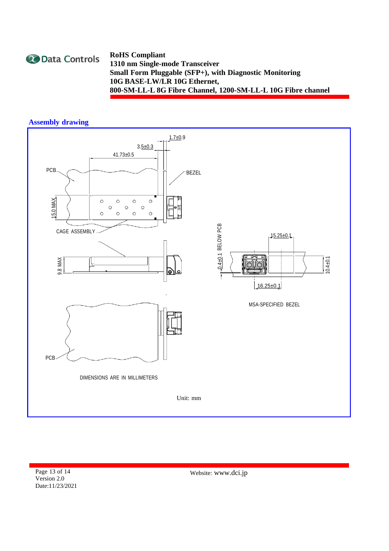

### **Assembly drawing**



Page 13 of 14 Version 2.0 Date:11/23/2021